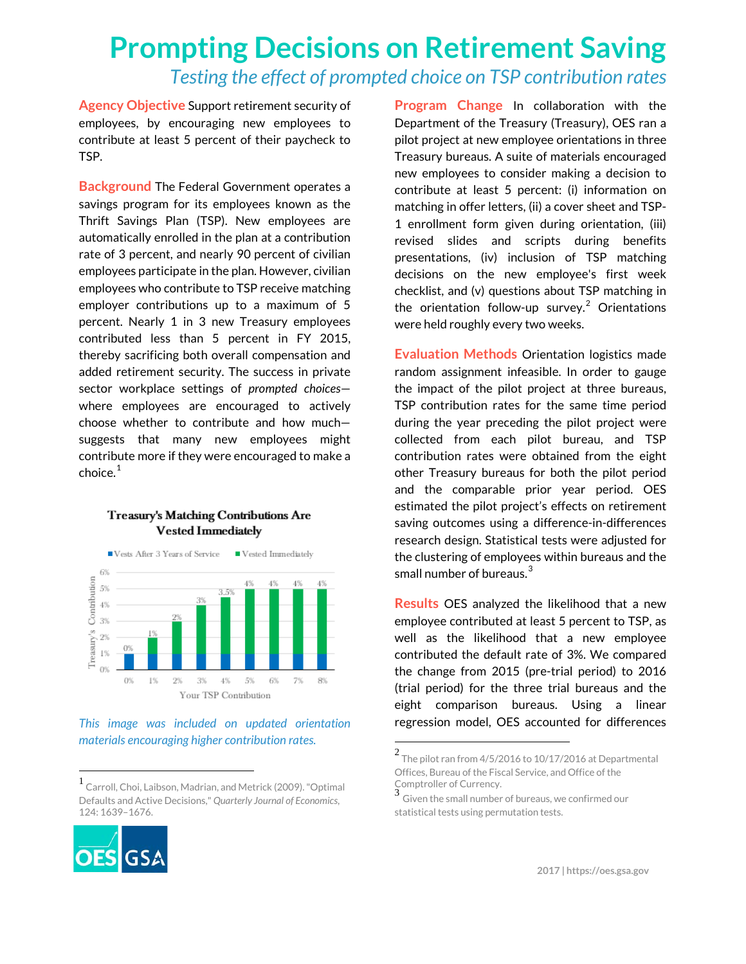## **Prompting Decisions on Retirement Saving** *Testing the effect of prompted choice on TSP contribution rates*

**Agency Objective** Support retirement security of employees, by encouraging new employees to contribute at least 5 percent of their paycheck to TSP.

**Background** The Federal Government operates a savings program for its employees known as the Thrift Savings Plan (TSP). New employees are automatically enrolled in the plan at a contribution rate of 3 percent, and nearly 90 percent of civilian employees participate in the plan. However, civilian employees who contribute to TSP receive matching employer contributions up to a maximum of 5 percent. Nearly 1 in 3 new Treasury employees contributed less than 5 percent in FY 2015, thereby sacrificing both overall compensation and added retirement security. The success in private sector workplace settings of *prompted choices* where employees are encouraged to actively choose whether to contribute and how much suggests that many new employees might contribute more if they were encouraged to make a  $choice<sup>1</sup>$  $choice<sup>1</sup>$  $choice<sup>1</sup>$ 

## ■ Vests After 3 Years of Service  $\blacksquare$  Vested Immediately 6% Contribution 4%  $4%$ 5%  $4\%$  $3\%$ Treasury's  $2\%$ D<sup>9</sup> 1% O%  $0%$ 1% 2% 3%  $4\%$ 5% 6% 7%  $8%$ Your TSP Contribution

**Treasury's Matching Contributions Are Vested Immediately** 

## *This image was included on updated orientation materials encouraging higher contribution rates.*

<span id="page-0-2"></span><span id="page-0-1"></span><span id="page-0-0"></span> <sup>1</sup> Carroll, Choi, Laibson, Madrian, and Metrick (2009). "Optimal Defaults and Active Decisions," *Quarterly Journal of Economics*, 124: 1639–1676.



**Program Change** In collaboration with the Department of the Treasury (Treasury), OES ran a pilot project at new employee orientations in three Treasury bureaus. A suite of materials encouraged new employees to consider making a decision to contribute at least 5 percent: (i) information on matching in offer letters, (ii) a cover sheet and TSP-1 enrollment form given during orientation, (iii) revised slides and scripts during benefits presentations, (iv) inclusion of TSP matching decisions on the new employee's first week checklist, and (v) questions about TSP matching in the orientation follow-up survey.<sup>[2](#page-0-1)</sup> Orientations were held roughly every two weeks.

**Evaluation Methods** Orientation logistics made random assignment infeasible. In order to gauge the impact of the pilot project at three bureaus, TSP contribution rates for the same time period during the year preceding the pilot project were collected from each pilot bureau, and TSP contribution rates were obtained from the eight other Treasury bureaus for both the pilot period and the comparable prior year period. OES estimated the pilot project's effects on retirement saving outcomes using a difference-in-differences research design. Statistical tests were adjusted for the clustering of employees within bureaus and the small number of bureaus. $3$ 

**Results** OES analyzed the likelihood that a new employee contributed at least 5 percent to TSP, as well as the likelihood that a new employee contributed the default rate of 3%. We compared the change from 2015 (pre-trial period) to 2016 (trial period) for the three trial bureaus and the eight comparison bureaus. Using a linear regression model, OES accounted for differences

 $^2$  The pilot ran from 4/5/2016 to 10/17/2016 at Departmental Offices, Bureau of the Fiscal Service, and Office of the Comptroller of Currency.

Given the small number of bureaus, we confirmed our statistical tests using permutation tests.